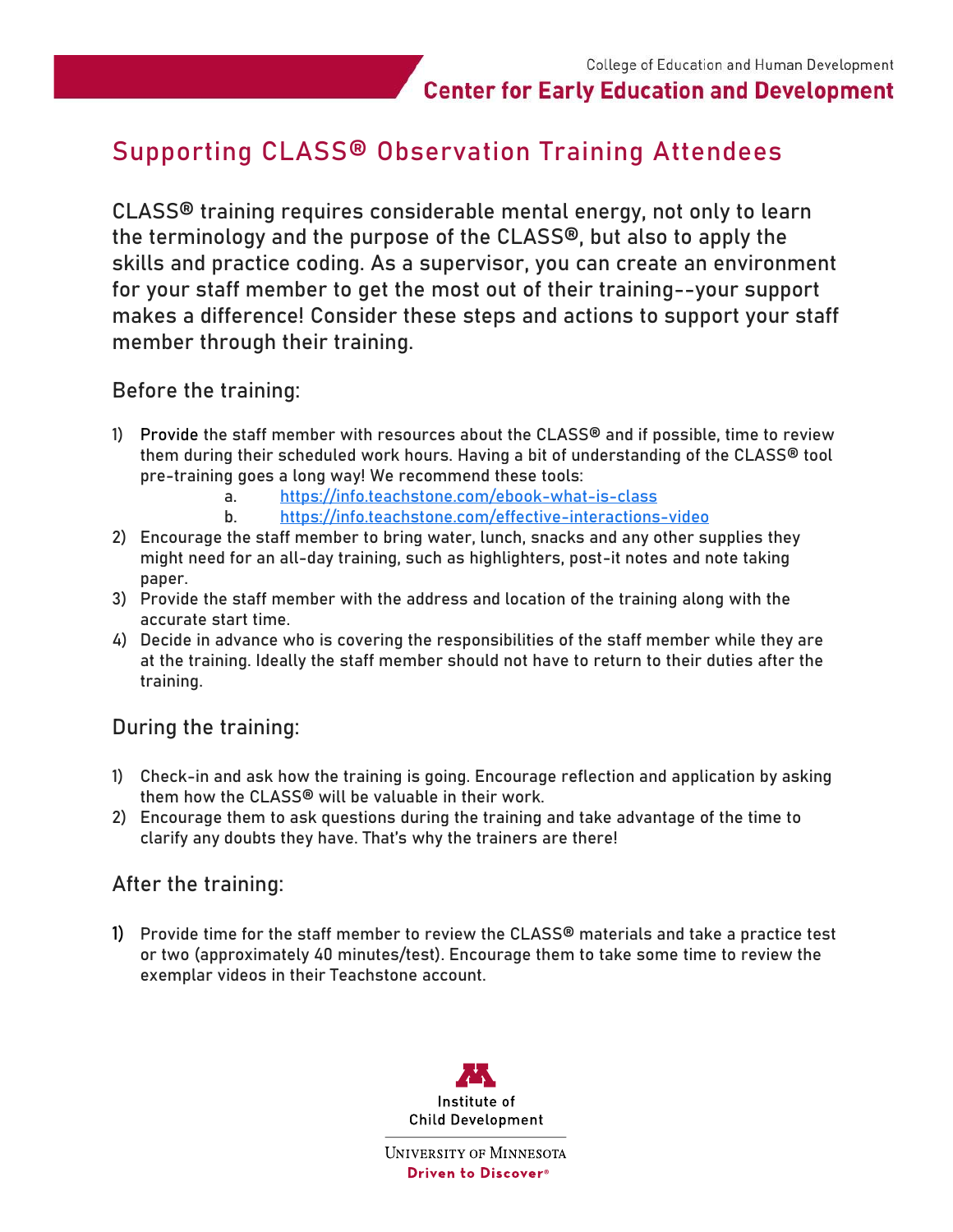# **Center for Early Education and Development**

# Supporting CLASS® Observation Training Attendees

CLASS® training requires considerable mental energy, not only to learn the terminology and the purpose of the CLASS®, but also to apply the skills and practice coding. As a supervisor, you can create an environment for your staff member to get the most out of their training--your support makes a difference! Consider these steps and actions to support your staff member through their training.

#### Before the training:

- 1) Provide the staff member with resources about the CLASS<sup>®</sup> and if possible, time to review them during their scheduled work hours. Having a bit of understanding of the CLASS® tool pre-training goes a long way! We recommend these tools:
	- a. <https://info.teachstone.com/ebook-what-is-class>
	- b. <https://info.teachstone.com/effective-interactions-video>
- 2) Encourage the staff member to bring water, lunch, snacks and any other supplies they might need for an all-day training, such as highlighters, post-it notes and note taking paper.
- 3) Provide the staff member with the address and location of the training along with the accurate start time.
- 4) Decide in advance who is covering the responsibilities of the staff member while they are at the training. Ideally the staff member should not have to return to their duties after the training.

#### During the training:

- 1) Check-in and ask how the training is going. Encourage reflection and application by asking them how the CLASS® will be valuable in their work.
- 2) Encourage them to ask questions during the training and take advantage of the time to clarify any doubts they have. That's why the trainers are there!

#### After the training:

1) Provide time for the staff member to review the CLASS® materials and take a practice test or two (approximately 40 minutes/test). Encourage them to take some time to review the exemplar videos in their Teachstone account.



**UNIVERSITY OF MINNESOTA** Driven to Discover<sup>®</sup>